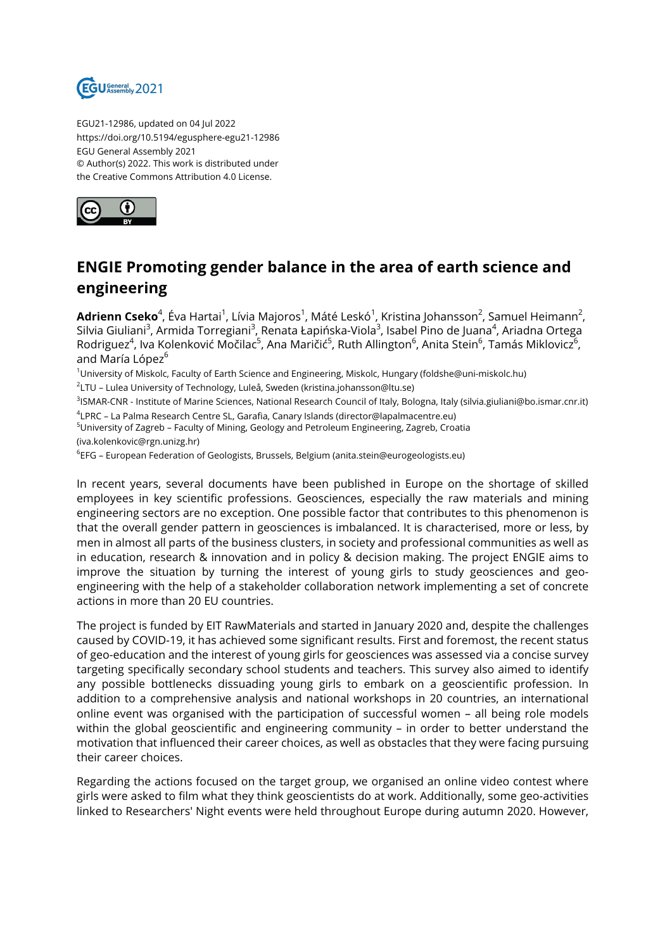

EGU21-12986, updated on 04 Jul 2022 https://doi.org/10.5194/egusphere-egu21-12986 EGU General Assembly 2021 © Author(s) 2022. This work is distributed under the Creative Commons Attribution 4.0 License.



## **ENGIE Promoting gender balance in the area of earth science and engineering**

**Adrienn Cseko**<sup>4</sup>, Éva Hartai<sup>1</sup>, Lívia Majoros<sup>1</sup>, Máté Leskó<sup>1</sup>, Kristina Johansson<sup>2</sup>, Samuel Heimann<sup>2</sup>, Silvia Giuliani<sup>3</sup>, Armida Torregiani<sup>3</sup>, Renata Łapińska-Viola<sup>3</sup>, Isabel Pino de Juana<sup>4</sup>, Ariadna Ortega Rodriguez<sup>4</sup>, Iva Kolenković Močilac<sup>5</sup>, Ana Maričić<sup>5</sup>, Ruth Allington<sup>6</sup>, Anita Stein<sup>6</sup>, Tamás Miklovicz<sup>6</sup>, and María López<sup>6</sup>

<sup>1</sup>University of Miskolc, Faculty of Earth Science and Engineering, Miskolc, Hungary (foldshe@uni-miskolc.hu)

 $^2$ LTU – Lulea University of Technology, Luleå, Sweden (kristina.johansson@ltu.se)

<sup>3</sup>lSMAR-CNR - Institute of Marine Sciences, National Research Council of Italy, Bologna, Italy (silvia.giuliani@bo.ismar.cnr.it) 4 LPRC – La Palma Research Centre SL, Garafia, Canary Islands (director@lapalmacentre.eu)

<sup>5</sup>University of Zagreb – Faculty of Mining, Geology and Petroleum Engineering, Zagreb, Croatia

(iva.kolenkovic@rgn.unizg.hr)

 $^6$ EFG – European Federation of Geologists, Brussels, Belgium (anita.stein@eurogeologists.eu)

In recent years, several documents have been published in Europe on the shortage of skilled employees in key scientific professions. Geosciences, especially the raw materials and mining engineering sectors are no exception. One possible factor that contributes to this phenomenon is that the overall gender pattern in geosciences is imbalanced. It is characterised, more or less, by men in almost all parts of the business clusters, in society and professional communities as well as in education, research & innovation and in policy & decision making. The project ENGIE aims to improve the situation by turning the interest of young girls to study geosciences and geoengineering with the help of a stakeholder collaboration network implementing a set of concrete actions in more than 20 EU countries.

The project is funded by EIT RawMaterials and started in January 2020 and, despite the challenges caused by COVID-19, it has achieved some significant results. First and foremost, the recent status of geo-education and the interest of young girls for geosciences was assessed via a concise survey targeting specifically secondary school students and teachers. This survey also aimed to identify any possible bottlenecks dissuading young girls to embark on a geoscientific profession. In addition to a comprehensive analysis and national workshops in 20 countries, an international online event was organised with the participation of successful women – all being role models within the global geoscientific and engineering community – in order to better understand the motivation that influenced their career choices, as well as obstacles that they were facing pursuing their career choices.

Regarding the actions focused on the target group, we organised an online video contest where girls were asked to film what they think geoscientists do at work. Additionally, some geo-activities linked to Researchers' Night events were held throughout Europe during autumn 2020. However,